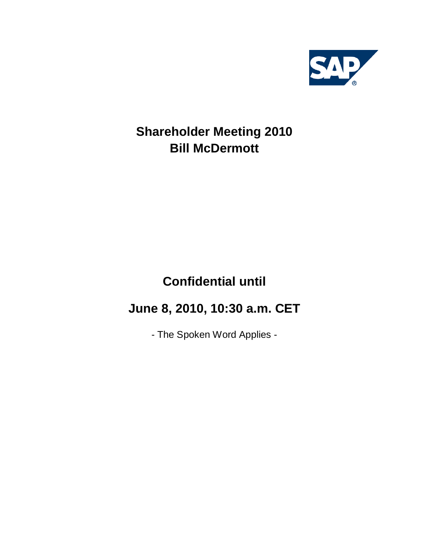

## **Shareholder Meeting 2010 Bill McDermott**

# **Confidential until**

## **June 8, 2010, 10:30 a.m. CET**

- The Spoken Word Applies -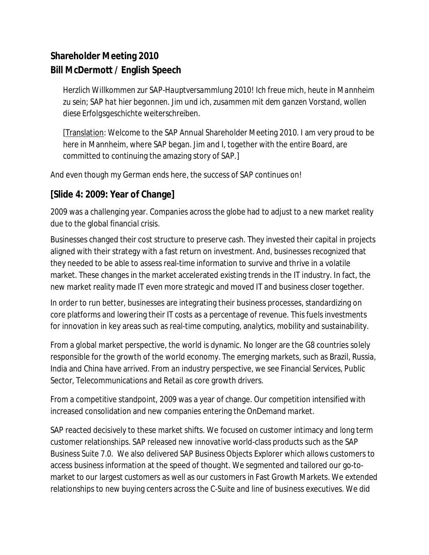## **Shareholder Meeting 2010 Bill McDermott / English Speech**

*Herzlich Willkommen zur SAP-Hauptversammlung 2010! Ich freue mich, heute in Mannheim zu sein; SAP hat hier begonnen. Jim und ich, zusammen mit dem ganzen Vorstand, wollen diese Erfolgsgeschichte weiterschreiben.*

[Translation: Welcome to the SAP Annual Shareholder Meeting 2010. I am very proud to be here in Mannheim, where SAP began. Jim and I, together with the entire Board, are committed to continuing the amazing story of SAP.]

And even though my German ends here, the success of SAP continues on!

#### **[Slide 4: 2009: Year of Change]**

2009 was a challenging year. Companies across the globe had to adjust to a new market reality due to the global financial crisis.

Businesses changed their cost structure to preserve cash. They invested their capital in projects aligned with their strategy with a fast return on investment. And, businesses recognized that they needed to be able to assess real-time information to survive and thrive in a volatile market. These changes in the market accelerated existing trends in the IT industry. In fact, the new market reality made IT even more strategic and moved IT and business closer together.

In order to run better, businesses are integrating their business processes, standardizing on core platforms and lowering their IT costs as a percentage of revenue. This fuels investments for innovation in key areas such as real-time computing, analytics, mobility and sustainability.

From a global market perspective, the world is dynamic. No longer are the G8 countries solely responsible for the growth of the world economy. The emerging markets, such as Brazil, Russia, India and China have arrived. From an industry perspective, we see Financial Services, Public Sector, Telecommunications and Retail as core growth drivers.

From a competitive standpoint, 2009 was a year of change. Our competition intensified with increased consolidation and new companies entering the OnDemand market.

SAP reacted decisively to these market shifts. We focused on customer intimacy and long term customer relationships. SAP released new innovative world-class products such as the SAP Business Suite 7.0. We also delivered SAP Business Objects Explorer which allows customers to access business information at the speed of thought. We segmented and tailored our go-tomarket to our largest customers as well as our customers in Fast Growth Markets. We extended relationships to new buying centers across the C-Suite and line of business executives. We did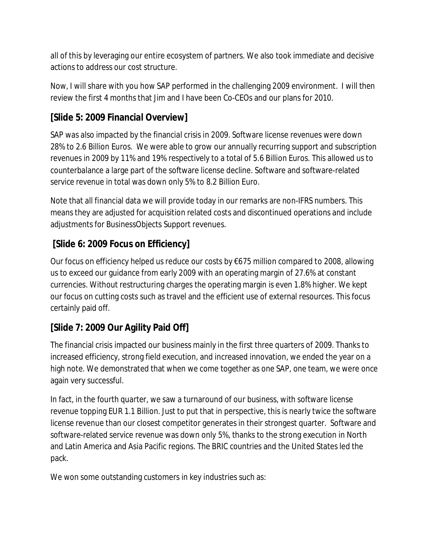all of this by leveraging our entire ecosystem of partners. We also took immediate and decisive actions to address our cost structure.

Now, I will share with you how SAP performed in the challenging 2009 environment. I will then review the first 4 months that Jim and I have been Co-CEOs and our plans for 2010.

#### **[Slide 5: 2009 Financial Overview]**

SAP was also impacted by the financial crisis in 2009. Software license revenues were down 28% to 2.6 Billion Euros. We were able to grow our annually recurring support and subscription revenues in 2009 by 11% and 19% respectively to a total of 5.6 Billion Euros. This allowed us to counterbalance a large part of the software license decline. Software and software-related service revenue in total was down only 5% to 8.2 Billion Euro.

Note that all financial data we will provide today in our remarks are non-IFRS numbers. This means they are adjusted for acquisition related costs and discontinued operations and include adjustments for BusinessObjects Support revenues.

## **[Slide 6: 2009 Focus on Efficiency]**

Our focus on efficiency helped us reduce our costs by  $\epsilon$ 675 million compared to 2008, allowing us to exceed our guidance from early 2009 with an operating margin of 27.6% at constant currencies. Without restructuring charges the operating margin is even 1.8% higher. We kept our focus on cutting costs such as travel and the efficient use of external resources. This focus certainly paid off.

## **[Slide 7: 2009 Our Agility Paid Off]**

The financial crisis impacted our business mainly in the first three quarters of 2009. Thanks to increased efficiency, strong field execution, and increased innovation, we ended the year on a high note. We demonstrated that when we come together as one SAP, one team, we were once again very successful.

In fact, in the fourth quarter, we saw a turnaround of our business, with software license revenue topping EUR 1.1 Billion. Just to put that in perspective, this is nearly twice the software license revenue than our closest competitor generates in their strongest quarter. Software and software-related service revenue was down only 5%, thanks to the strong execution in North and Latin America and Asia Pacific regions. The BRIC countries and the United States led the pack.

We won some outstanding customers in key industries such as: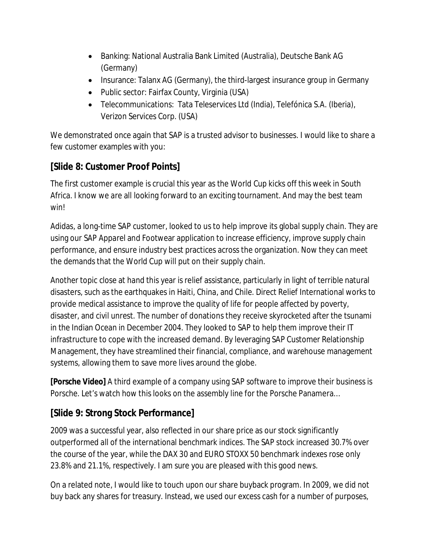- Banking: National Australia Bank Limited (Australia), Deutsche Bank AG (Germany)
- Insurance: Talanx AG (Germany), the third-largest insurance group in Germany
- Public sector: Fairfax County, Virginia (USA)
- Telecommunications: Tata Teleservices Ltd (India), Telefónica S.A. (Iberia), Verizon Services Corp. (USA)

We demonstrated once again that SAP is a trusted advisor to businesses. I would like to share a few customer examples with you:

### **[Slide 8: Customer Proof Points]**

The first customer example is crucial this year as the World Cup kicks off this week in South Africa. I know we are all looking forward to an exciting tournament. And may the best team win!

Adidas, a long-time SAP customer, looked to us to help improve its global supply chain. They are using our SAP Apparel and Footwear application to increase efficiency, improve supply chain performance, and ensure industry best practices across the organization. Now they can meet the demands that the World Cup will put on their supply chain.

Another topic close at hand this year is relief assistance, particularly in light of terrible natural disasters, such as the earthquakes in Haiti, China, and Chile. Direct Relief International works to provide medical assistance to improve the quality of life for people affected by poverty, disaster, and civil unrest. The number of donations they receive skyrocketed after the tsunami in the Indian Ocean in December 2004. They looked to SAP to help them improve their IT infrastructure to cope with the increased demand. By leveraging SAP Customer Relationship Management, they have streamlined their financial, compliance, and warehouse management systems, allowing them to save more lives around the globe.

**[Porsche Video]** A third example of a company using SAP software to improve their business is Porsche. Let's watch how this looks on the assembly line for the Porsche Panamera…

## **[Slide 9: Strong Stock Performance]**

2009 was a successful year, also reflected in our share price as our stock significantly outperformed all of the international benchmark indices. The SAP stock increased 30.7% over the course of the year, while the DAX 30 and EURO STOXX 50 benchmark indexes rose only 23.8% and 21.1%, respectively. I am sure you are pleased with this good news.

On a related note, I would like to touch upon our share buyback program. In 2009, we did not buy back any shares for treasury. Instead, we used our excess cash for a number of purposes,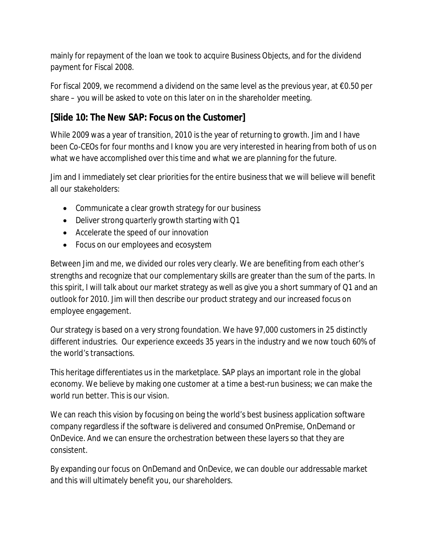mainly for repayment of the loan we took to acquire Business Objects, and for the dividend payment for Fiscal 2008.

For fiscal 2009, we recommend a dividend on the same level as the previous year, at  $\epsilon$ 0.50 per share – you will be asked to vote on this later on in the shareholder meeting.

#### **[Slide 10: The New SAP: Focus on the Customer]**

While 2009 was a year of transition, 2010 is the year of returning to growth. Jim and I have been Co-CEOs for four months and I know you are very interested in hearing from both of us on what we have accomplished over this time and what we are planning for the future.

Jim and I immediately set clear priorities for the entire business that we will believe will benefit all our stakeholders:

- Communicate a clear growth strategy for our business
- $\bullet$  Deliver strong quarterly growth starting with Q1
- Accelerate the speed of our innovation
- Focus on our employees and ecosystem

Between Jim and me, we divided our roles very clearly. We are benefiting from each other's strengths and recognize that our complementary skills are greater than the sum of the parts. In this spirit, I will talk about our market strategy as well as give you a short summary of Q1 and an outlook for 2010. Jim will then describe our product strategy and our increased focus on employee engagement.

Our strategy is based on a very strong foundation. We have 97,000 customers in 25 distinctly different industries. Our experience exceeds 35 years in the industry and we now touch 60% of the world's transactions.

This heritage differentiates us in the marketplace. SAP plays an important role in the global economy. We believe by making one customer at a time a best-run business; we can make the world run better. This is our vision.

We can reach this vision by focusing on being the world's best business application software company regardless if the software is delivered and consumed OnPremise, OnDemand or OnDevice. And we can ensure the orchestration between these layers so that they are consistent.

By expanding our focus on OnDemand and OnDevice, we can double our addressable market and this will ultimately benefit you, our shareholders.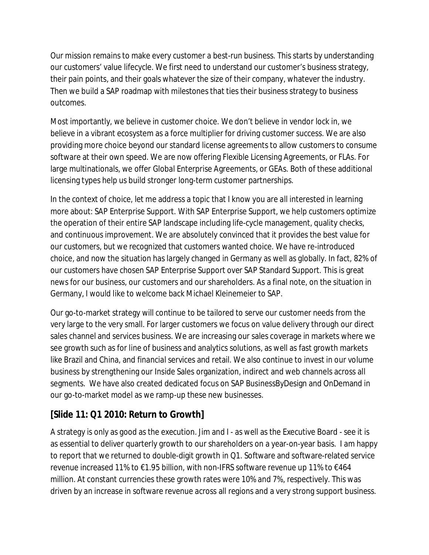Our mission remains to make every customer a best-run business. This starts by understanding our customers' value lifecycle. We first need to understand our customer's business strategy, their pain points, and their goals whatever the size of their company, whatever the industry. Then we build a SAP roadmap with milestones that ties their business strategy to business outcomes.

Most importantly, we believe in customer choice. We don't believe in vendor lock in, we believe in a vibrant ecosystem as a force multiplier for driving customer success. We are also providing more choice beyond our standard license agreements to allow customers to consume software at their own speed. We are now offering Flexible Licensing Agreements, or FLAs. For large multinationals, we offer Global Enterprise Agreements, or GEAs. Both of these additional licensing types help us build stronger long-term customer partnerships.

In the context of choice, let me address a topic that I know you are all interested in learning more about: SAP Enterprise Support. With SAP Enterprise Support, we help customers optimize the operation of their entire SAP landscape including life-cycle management, quality checks, and continuous improvement. We are absolutely convinced that it provides the best value for our customers, but we recognized that customers wanted choice. We have re-introduced choice, and now the situation has largely changed in Germany as well as globally. In fact, 82% of our customers have chosen SAP Enterprise Support over SAP Standard Support. This is great news for our business, our customers and our shareholders. As a final note, on the situation in Germany, I would like to welcome back Michael Kleinemeier to SAP.

Our go-to-market strategy will continue to be tailored to serve our customer needs from the very large to the very small. For larger customers we focus on value delivery through our direct sales channel and services business. We are increasing our sales coverage in markets where we see growth such as for line of business and analytics solutions, as well as fast growth markets like Brazil and China, and financial services and retail. We also continue to invest in our volume business by strengthening our Inside Sales organization, indirect and web channels across all segments. We have also created dedicated focus on SAP BusinessByDesign and OnDemand in our go-to-market model as we ramp-up these new businesses.

#### **[Slide 11: Q1 2010: Return to Growth]**

A strategy is only as good as the execution. Jim and I - as well as the Executive Board - see it is as essential to deliver quarterly growth to our shareholders on a year-on-year basis. I am happy to report that we returned to double-digit growth in Q1. Software and software-related service revenue increased 11% to  $\epsilon$ 1.95 billion, with non-IFRS software revenue up 11% to  $\epsilon$ 464 million. At constant currencies these growth rates were 10% and 7%, respectively. This was driven by an increase in software revenue across all regions and a very strong support business.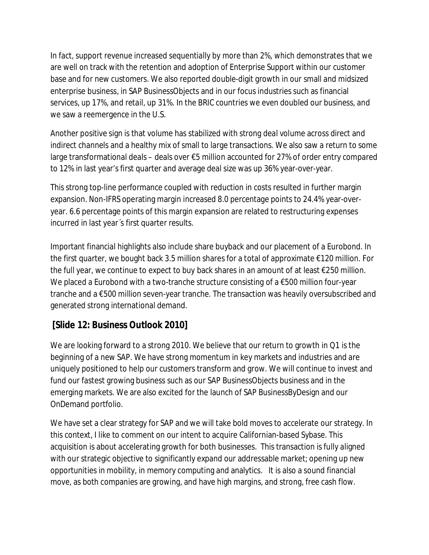In fact, support revenue increased sequentially by more than 2%, which demonstrates that we are well on track with the retention and adoption of Enterprise Support within our customer base and for new customers. We also reported double-digit growth in our small and midsized enterprise business, in SAP BusinessObjects and in our focus industries such as financial services, up 17%, and retail, up 31%. In the BRIC countries we even doubled our business, and we saw a reemergence in the U.S.

Another positive sign is that volume has stabilized with strong deal volume across direct and indirect channels and a healthy mix of small to large transactions. We also saw a return to some large transformational deals – deals over  $\epsilon$ 5 million accounted for 27% of order entry compared to 12% in last year's first quarter and average deal size was up 36% year-over-year.

This strong top-line performance coupled with reduction in costs resulted in further margin expansion. Non-IFRS operating margin increased 8.0 percentage points to 24.4% year-overyear. 6.6 percentage points of this margin expansion are related to restructuring expenses incurred in last year´s first quarter results.

Important financial highlights also include share buyback and our placement of a Eurobond. In the first quarter, we bought back 3.5 million shares for a total of approximate €120 million. For the full year, we continue to expect to buy back shares in an amount of at least €250 million. We placed a Eurobond with a two-tranche structure consisting of a €500 million four-year tranche and a €500 million seven-year tranche. The transaction was heavily oversubscribed and generated strong international demand.

#### **[Slide 12: Business Outlook 2010]**

We are looking forward to a strong 2010. We believe that our return to growth in Q1 is the beginning of a new SAP. We have strong momentum in key markets and industries and are uniquely positioned to help our customers transform and grow. We will continue to invest and fund our fastest growing business such as our SAP BusinessObjects business and in the emerging markets. We are also excited for the launch of SAP BusinessByDesign and our OnDemand portfolio.

We have set a clear strategy for SAP and we will take bold moves to accelerate our strategy. In this context, I like to comment on our intent to acquire Californian-based Sybase. This acquisition is about accelerating growth for both businesses. This transaction is fully aligned with our strategic objective to significantly expand our addressable market; opening up new opportunities in mobility, in memory computing and analytics. It is also a sound financial move, as both companies are growing, and have high margins, and strong, free cash flow.